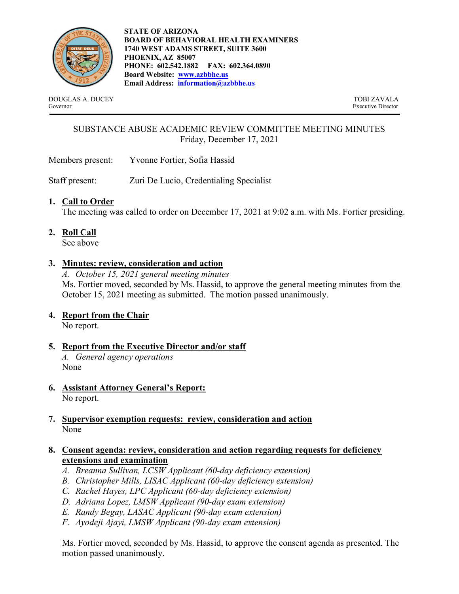

STATE OF ARIZONA BOARD OF BEHAVIORAL HEALTH EXAMINERS 1740 WEST ADAMS STREET, SUITE 3600 PHOENIX, AZ 85007 PHONE: 602.542.1882 FAX: 602.364.0890 Board Website: www.azbbhe.us Email Address: information@azbbhe.us

DOUGLAS A. DUCEY TOBI ZAVALA Governor Executive Director

# SUBSTANCE ABUSE ACADEMIC REVIEW COMMITTEE MEETING MINUTES Friday, December 17, 2021

Members present: Yvonne Fortier, Sofia Hassid

Staff present: Zuri De Lucio, Credentialing Specialist

#### 1. Call to Order

The meeting was called to order on December 17, 2021 at 9:02 a.m. with Ms. Fortier presiding.

2. Roll Call

See above

#### 3. Minutes: review, consideration and action

A. October 15, 2021 general meeting minutes Ms. Fortier moved, seconded by Ms. Hassid, to approve the general meeting minutes from the October 15, 2021 meeting as submitted. The motion passed unanimously.

## 4. Report from the Chair

No report.

5. Report from the Executive Director and/or staff

A. General agency operations None

- 6. Assistant Attorney General's Report: No report.
- 7. Supervisor exemption requests: review, consideration and action None

#### 8. Consent agenda: review, consideration and action regarding requests for deficiency extensions and examination

- A. Breanna Sullivan, LCSW Applicant (60-day deficiency extension)
- B. Christopher Mills, LISAC Applicant (60-day deficiency extension)
- C. Rachel Hayes, LPC Applicant (60-day deficiency extension)
- D. Adriana Lopez, LMSW Applicant (90-day exam extension)
- E. Randy Begay, LASAC Applicant (90-day exam extension)
- F. Ayodeji Ajayi, LMSW Applicant (90-day exam extension)

Ms. Fortier moved, seconded by Ms. Hassid, to approve the consent agenda as presented. The motion passed unanimously.